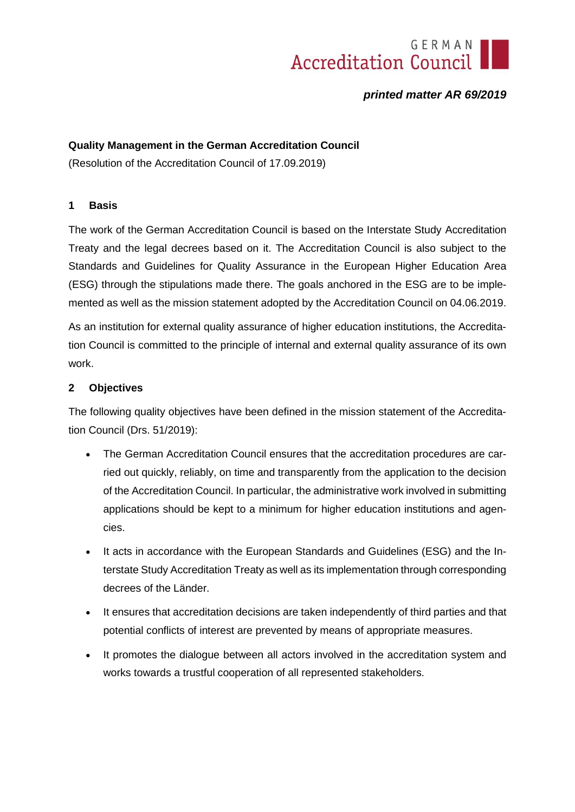# **Accreditation Council**

# *printed matter AR 69/2019*

## **Quality Management in the German Accreditation Council**

(Resolution of the Accreditation Council of 17.09.2019)

#### **1 Basis**

The work of the German Accreditation Council is based on the Interstate Study Accreditation Treaty and the legal decrees based on it. The Accreditation Council is also subject to the Standards and Guidelines for Quality Assurance in the European Higher Education Area (ESG) through the stipulations made there. The goals anchored in the ESG are to be implemented as well as the mission statement adopted by the Accreditation Council on 04.06.2019.

As an institution for external quality assurance of higher education institutions, the Accreditation Council is committed to the principle of internal and external quality assurance of its own work.

#### **2 Objectives**

The following quality objectives have been defined in the mission statement of the Accreditation Council (Drs. 51/2019):

- The German Accreditation Council ensures that the accreditation procedures are carried out quickly, reliably, on time and transparently from the application to the decision of the Accreditation Council. In particular, the administrative work involved in submitting applications should be kept to a minimum for higher education institutions and agencies.
- It acts in accordance with the European Standards and Guidelines (ESG) and the Interstate Study Accreditation Treaty as well as its implementation through corresponding decrees of the Länder.
- It ensures that accreditation decisions are taken independently of third parties and that potential conflicts of interest are prevented by means of appropriate measures.
- It promotes the dialogue between all actors involved in the accreditation system and works towards a trustful cooperation of all represented stakeholders.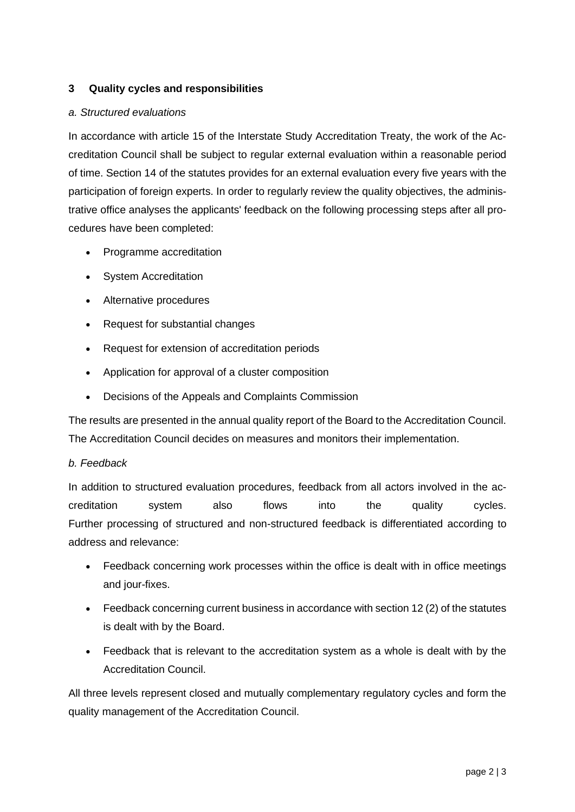## **3 Quality cycles and responsibilities**

#### *a. Structured evaluations*

In accordance with article 15 of the Interstate Study Accreditation Treaty, the work of the Accreditation Council shall be subject to regular external evaluation within a reasonable period of time. Section 14 of the statutes provides for an external evaluation every five years with the participation of foreign experts. In order to regularly review the quality objectives, the administrative office analyses the applicants' feedback on the following processing steps after all procedures have been completed:

- Programme accreditation
- System Accreditation
- Alternative procedures
- Request for substantial changes
- Request for extension of accreditation periods
- Application for approval of a cluster composition
- Decisions of the Appeals and Complaints Commission

The results are presented in the annual quality report of the Board to the Accreditation Council. The Accreditation Council decides on measures and monitors their implementation.

#### *b. Feedback*

In addition to structured evaluation procedures, feedback from all actors involved in the accreditation system also flows into the quality cycles. Further processing of structured and non-structured feedback is differentiated according to address and relevance:

- Feedback concerning work processes within the office is dealt with in office meetings and jour-fixes.
- Feedback concerning current business in accordance with section 12 (2) of the statutes is dealt with by the Board.
- Feedback that is relevant to the accreditation system as a whole is dealt with by the Accreditation Council.

All three levels represent closed and mutually complementary regulatory cycles and form the quality management of the Accreditation Council.